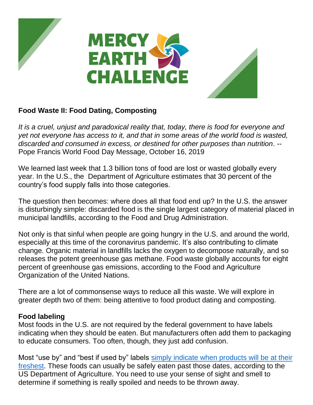

## **Food Waste II: Food Dating, Composting**

*It is a cruel, unjust and paradoxical reality that, today, there is food for everyone and yet not everyone has access to it, and that in some areas of the world food is wasted, discarded and consumed in excess, or destined for other purposes than nutrition*. -- Pope Francis World Food Day Message, October 16, 2019

We learned last week that 1.3 billion tons of food are lost or wasted globally every year. In the U.S., the Department of Agriculture estimates that 30 percent of the country's food supply falls into those categories.

The question then becomes: where does all that food end up? In the U.S. the answer is disturbingly simple: discarded food is the single largest category of material placed in municipal landfills, according to the Food and Drug Administration.

Not only is that sinful when people are going hungry in the U.S. and around the world, especially at this time of the coronavirus pandemic. It's also contributing to climate change. Organic material in landfills lacks the oxygen to decompose naturally, and so releases the potent greenhouse gas methane. Food waste globally accounts for eight percent of greenhouse gas emissions, according to the Food and Agriculture Organization of the United Nations.

There are a lot of commonsense ways to reduce all this waste. We will explore in greater depth two of them: being attentive to food product dating and composting.

## **Food labeling**

Most foods in the U.S. are not required by the federal government to have labels indicating when they should be eaten. But manufacturers often add them to packaging to educate consumers. Too often, though, they just add confusion.

Most "use by" and "best if used by" labels [simply indicate when products will be at their](https://www.fsis.usda.gov/wps/wcm/connect/19013cb7-8a4d-474c-8bd7-bda76b9defb3/Food-Product-Dating.pdf?MOD=AJPERES)  [freshest.](https://www.fsis.usda.gov/wps/wcm/connect/19013cb7-8a4d-474c-8bd7-bda76b9defb3/Food-Product-Dating.pdf?MOD=AJPERES) These foods can usually be safely eaten past those dates, according to the US Department of Agriculture. You need to use your sense of sight and smell to determine if something is really spoiled and needs to be thrown away.